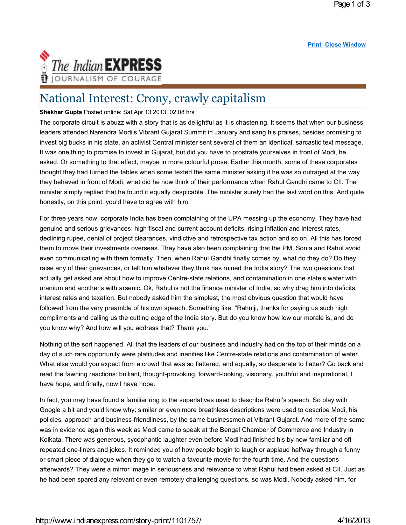

## National Interest: Crony, crawly capitalism

## **Shekhar Gupta** Posted online: Sat Apr 13 2013, 02:08 hrs

The corporate circuit is abuzz with a story that is as delightful as it is chastening. It seems that when our business leaders attended Narendra Modi's Vibrant Gujarat Summit in January and sang his praises, besides promising to invest big bucks in his state, an activist Central minister sent several of them an identical, sarcastic text message. It was one thing to promise to invest in Gujarat, but did you have to prostrate yourselves in front of Modi, he asked. Or something to that effect, maybe in more colourful prose. Earlier this month, some of these corporates thought they had turned the tables when some texted the same minister asking if he was so outraged at the way they behaved in front of Modi, what did he now think of their performance when Rahul Gandhi came to CII. The minister simply replied that he found it equally despicable. The minister surely had the last word on this. And quite honestly, on this point, you'd have to agree with him.

For three years now, corporate India has been complaining of the UPA messing up the economy. They have had genuine and serious grievances: high fiscal and current account deficits, rising inflation and interest rates, declining rupee, denial of project clearances, vindictive and retrospective tax action and so on. All this has forced them to move their investments overseas. They have also been complaining that the PM, Sonia and Rahul avoid even communicating with them formally. Then, when Rahul Gandhi finally comes by, what do they do? Do they raise any of their grievances, or tell him whatever they think has ruined the India story? The two questions that actually get asked are about how to improve Centre-state relations, and contamination in one state's water with uranium and another's with arsenic. Ok, Rahul is not the finance minister of India, so why drag him into deficits, interest rates and taxation. But nobody asked him the simplest, the most obvious question that would have followed from the very preamble of his own speech. Something like: "Rahulji, thanks for paying us such high compliments and calling us the cutting edge of the India story. But do you know how low our morale is, and do you know why? And how will you address that? Thank you."

Nothing of the sort happened. All that the leaders of our business and industry had on the top of their minds on a day of such rare opportunity were platitudes and inanities like Centre-state relations and contamination of water. What else would you expect from a crowd that was so flattered, and equally, so desperate to flatter? Go back and read the fawning reactions: brilliant, thought-provoking, forward-looking, visionary, youthful and inspirational, I have hope, and finally, now I have hope.

In fact, you may have found a familiar ring to the superlatives used to describe Rahul's speech. So play with Google a bit and you'd know why: similar or even more breathless descriptions were used to describe Modi, his policies, approach and business-friendliness, by the same businessmen at Vibrant Gujarat. And more of the same was in evidence again this week as Modi came to speak at the Bengal Chamber of Commerce and Industry in Kolkata. There was generous, sycophantic laughter even before Modi had finished his by now familiar and oftrepeated one-liners and jokes. It reminded you of how people begin to laugh or applaud halfway through a funny or smart piece of dialogue when they go to watch a favourite movie for the fourth time. And the questions afterwards? They were a mirror image in seriousness and relevance to what Rahul had been asked at CII. Just as he had been spared any relevant or even remotely challenging questions, so was Modi. Nobody asked him, for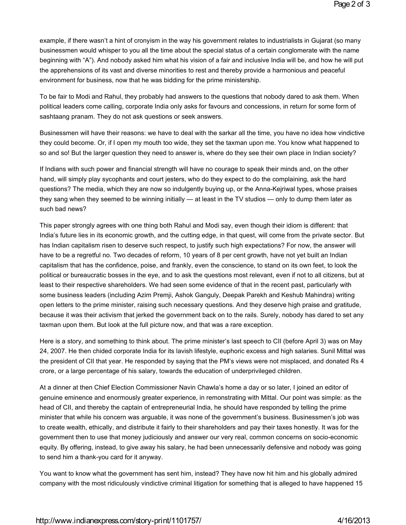example, if there wasn't a hint of cronyism in the way his government relates to industrialists in Gujarat (so many businessmen would whisper to you all the time about the special status of a certain conglomerate with the name beginning with "A"). And nobody asked him what his vision of a fair and inclusive India will be, and how he will put the apprehensions of its vast and diverse minorities to rest and thereby provide a harmonious and peaceful environment for business, now that he was bidding for the prime ministership.

To be fair to Modi and Rahul, they probably had answers to the questions that nobody dared to ask them. When political leaders come calling, corporate India only asks for favours and concessions, in return for some form of sashtaang pranam. They do not ask questions or seek answers.

Businessmen will have their reasons: we have to deal with the sarkar all the time, you have no idea how vindictive they could become. Or, if I open my mouth too wide, they set the taxman upon me. You know what happened to so and so! But the larger question they need to answer is, where do they see their own place in Indian society?

If Indians with such power and financial strength will have no courage to speak their minds and, on the other hand, will simply play sycophants and court jesters, who do they expect to do the complaining, ask the hard questions? The media, which they are now so indulgently buying up, or the Anna-Kejriwal types, whose praises they sang when they seemed to be winning initially — at least in the TV studios — only to dump them later as such bad news?

This paper strongly agrees with one thing both Rahul and Modi say, even though their idiom is different: that India's future lies in its economic growth, and the cutting edge, in that quest, will come from the private sector. But has Indian capitalism risen to deserve such respect, to justify such high expectations? For now, the answer will have to be a regretful no. Two decades of reform, 10 years of 8 per cent growth, have not yet built an Indian capitalism that has the confidence, poise, and frankly, even the conscience, to stand on its own feet, to look the political or bureaucratic bosses in the eye, and to ask the questions most relevant, even if not to all citizens, but at least to their respective shareholders. We had seen some evidence of that in the recent past, particularly with some business leaders (including Azim Premji, Ashok Ganguly, Deepak Parekh and Keshub Mahindra) writing open letters to the prime minister, raising such necessary questions. And they deserve high praise and gratitude, because it was their activism that jerked the government back on to the rails. Surely, nobody has dared to set any taxman upon them. But look at the full picture now, and that was a rare exception.

Here is a story, and something to think about. The prime minister's last speech to CII (before April 3) was on May 24, 2007. He then chided corporate India for its lavish lifestyle, euphoric excess and high salaries. Sunil Mittal was the president of CII that year. He responded by saying that the PM's views were not misplaced, and donated Rs 4 crore, or a large percentage of his salary, towards the education of underprivileged children.

At a dinner at then Chief Election Commissioner Navin Chawla's home a day or so later, I joined an editor of genuine eminence and enormously greater experience, in remonstrating with Mittal. Our point was simple: as the head of CII, and thereby the captain of entrepreneurial India, he should have responded by telling the prime minister that while his concern was arguable, it was none of the government's business. Businessmen's job was to create wealth, ethically, and distribute it fairly to their shareholders and pay their taxes honestly. It was for the government then to use that money judiciously and answer our very real, common concerns on socio-economic equity. By offering, instead, to give away his salary, he had been unnecessarily defensive and nobody was going to send him a thank-you card for it anyway.

You want to know what the government has sent him, instead? They have now hit him and his globally admired company with the most ridiculously vindictive criminal litigation for something that is alleged to have happened 15